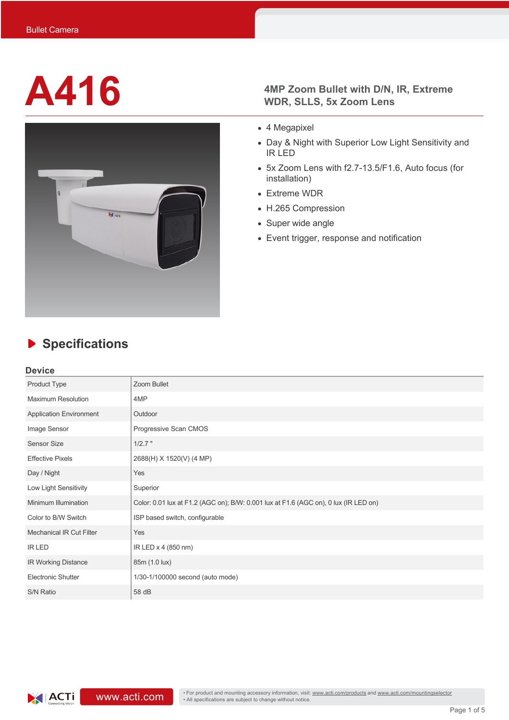

# **A416 4MP Zoom Bullet with D/N, IR, Extreme WDR, SLLS, 5x Zoom Lens**

- 4 Megapixel
- Day & Night with Superior Low Light Sensitivity and IR LED
- 5x Zoom Lens with f2.7-13.5/F1.6, Auto focus (for installation)
- Extreme WDR
- H.265 Compression
- Super wide angle
- Event trigger, response and notification

# **Specifications**

### **Device**

| Product Type                    | Zoom Bullet                                                                          |  |  |  |
|---------------------------------|--------------------------------------------------------------------------------------|--|--|--|
| <b>Maximum Resolution</b>       | 4MP                                                                                  |  |  |  |
| <b>Application Environment</b>  | Outdoor                                                                              |  |  |  |
| Image Sensor                    | Progressive Scan CMOS                                                                |  |  |  |
| <b>Sensor Size</b>              | $1/2.7$ "                                                                            |  |  |  |
| <b>Effective Pixels</b>         | 2688(H) X 1520(V) (4 MP)                                                             |  |  |  |
| Day / Night                     | Yes                                                                                  |  |  |  |
| Low Light Sensitivity           | Superior                                                                             |  |  |  |
| Minimum Illumination            | Color: 0.01 lux at F1.2 (AGC on); B/W: 0.001 lux at F1.6 (AGC on), 0 lux (IR LED on) |  |  |  |
| Color to B/W Switch             | ISP based switch, configurable                                                       |  |  |  |
| <b>Mechanical IR Cut Filter</b> | Yes                                                                                  |  |  |  |
| <b>IR LED</b>                   | IR LED x 4 (850 nm)                                                                  |  |  |  |
| IR Working Distance             | 85m (1.0 lux)                                                                        |  |  |  |
| Electronic Shutter              | 1/30-1/100000 second (auto mode)                                                     |  |  |  |
| S/N Ratio                       | 58 dB                                                                                |  |  |  |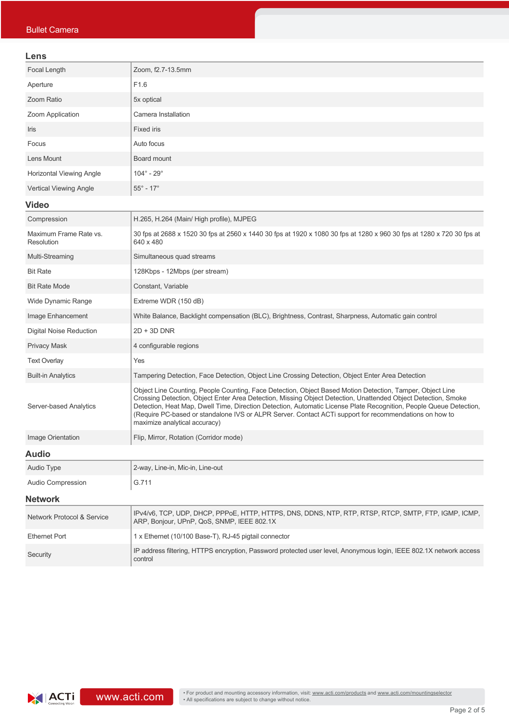### **Lens**

| Lens                                 |                                                                                                                                                                                                                                                                                                                                                                                                                                                                                             |  |  |  |
|--------------------------------------|---------------------------------------------------------------------------------------------------------------------------------------------------------------------------------------------------------------------------------------------------------------------------------------------------------------------------------------------------------------------------------------------------------------------------------------------------------------------------------------------|--|--|--|
| Focal Length                         | Zoom, f2.7-13.5mm                                                                                                                                                                                                                                                                                                                                                                                                                                                                           |  |  |  |
| Aperture                             | F1.6                                                                                                                                                                                                                                                                                                                                                                                                                                                                                        |  |  |  |
| Zoom Ratio                           | 5x optical                                                                                                                                                                                                                                                                                                                                                                                                                                                                                  |  |  |  |
| Zoom Application                     | Camera Installation                                                                                                                                                                                                                                                                                                                                                                                                                                                                         |  |  |  |
| Iris                                 | <b>Fixed iris</b>                                                                                                                                                                                                                                                                                                                                                                                                                                                                           |  |  |  |
| Focus                                | Auto focus                                                                                                                                                                                                                                                                                                                                                                                                                                                                                  |  |  |  |
| Lens Mount                           | Board mount                                                                                                                                                                                                                                                                                                                                                                                                                                                                                 |  |  |  |
| <b>Horizontal Viewing Angle</b>      | $104^\circ$ - 29 $^\circ$                                                                                                                                                                                                                                                                                                                                                                                                                                                                   |  |  |  |
| Vertical Viewing Angle               | $55^\circ$ - 17°                                                                                                                                                                                                                                                                                                                                                                                                                                                                            |  |  |  |
| <b>Video</b>                         |                                                                                                                                                                                                                                                                                                                                                                                                                                                                                             |  |  |  |
| Compression                          | H.265, H.264 (Main/ High profile), MJPEG                                                                                                                                                                                                                                                                                                                                                                                                                                                    |  |  |  |
| Maximum Frame Rate vs.<br>Resolution | 30 fps at 2688 x 1520 30 fps at 2560 x 1440 30 fps at 1920 x 1080 30 fps at 1280 x 960 30 fps at 1280 x 720 30 fps at<br>640 x 480                                                                                                                                                                                                                                                                                                                                                          |  |  |  |
| Multi-Streaming                      | Simultaneous quad streams                                                                                                                                                                                                                                                                                                                                                                                                                                                                   |  |  |  |
| <b>Bit Rate</b>                      | 128Kbps - 12Mbps (per stream)                                                                                                                                                                                                                                                                                                                                                                                                                                                               |  |  |  |
| <b>Bit Rate Mode</b>                 | Constant, Variable                                                                                                                                                                                                                                                                                                                                                                                                                                                                          |  |  |  |
| Wide Dynamic Range                   | Extreme WDR (150 dB)                                                                                                                                                                                                                                                                                                                                                                                                                                                                        |  |  |  |
| Image Enhancement                    | White Balance, Backlight compensation (BLC), Brightness, Contrast, Sharpness, Automatic gain control                                                                                                                                                                                                                                                                                                                                                                                        |  |  |  |
| Digital Noise Reduction              | $2D + 3D$ DNR                                                                                                                                                                                                                                                                                                                                                                                                                                                                               |  |  |  |
| <b>Privacy Mask</b>                  | 4 configurable regions                                                                                                                                                                                                                                                                                                                                                                                                                                                                      |  |  |  |
| <b>Text Overlay</b>                  | Yes                                                                                                                                                                                                                                                                                                                                                                                                                                                                                         |  |  |  |
| <b>Built-in Analytics</b>            | Tampering Detection, Face Detection, Object Line Crossing Detection, Object Enter Area Detection                                                                                                                                                                                                                                                                                                                                                                                            |  |  |  |
| Server-based Analytics               | Object Line Counting, People Counting, Face Detection, Object Based Motion Detection, Tamper, Object Line<br>Crossing Detection, Object Enter Area Detection, Missing Object Detection, Unattended Object Detection, Smoke<br>Detection, Heat Map, Dwell Time, Direction Detection, Automatic License Plate Recognition, People Queue Detection,<br>(Require PC-based or standalone IVS or ALPR Server. Contact ACTi support for recommendations on how to<br>maximize analytical accuracy) |  |  |  |
| Image Orientation                    | Flip, Mirror, Rotation (Corridor mode)                                                                                                                                                                                                                                                                                                                                                                                                                                                      |  |  |  |
| <b>Audio</b>                         |                                                                                                                                                                                                                                                                                                                                                                                                                                                                                             |  |  |  |
| Audio Type                           | 2-way, Line-in, Mic-in, Line-out                                                                                                                                                                                                                                                                                                                                                                                                                                                            |  |  |  |
| <b>Audio Compression</b>             | G.711                                                                                                                                                                                                                                                                                                                                                                                                                                                                                       |  |  |  |
| <b>Network</b>                       |                                                                                                                                                                                                                                                                                                                                                                                                                                                                                             |  |  |  |
| Network Protocol & Service           | IPv4/v6, TCP, UDP, DHCP, PPPoE, HTTP, HTTPS, DNS, DDNS, NTP, RTP, RTSP, RTCP, SMTP, FTP, IGMP, ICMP,<br>ARP, Bonjour, UPnP, QoS, SNMP, IEEE 802.1X                                                                                                                                                                                                                                                                                                                                          |  |  |  |
| <b>Ethernet Port</b>                 | 1 x Ethernet (10/100 Base-T), RJ-45 pigtail connector                                                                                                                                                                                                                                                                                                                                                                                                                                       |  |  |  |
| Security                             | IP address filtering, HTTPS encryption, Password protected user level, Anonymous login, IEEE 802.1X network access<br>control                                                                                                                                                                                                                                                                                                                                                               |  |  |  |

**ACTi** connecting Vision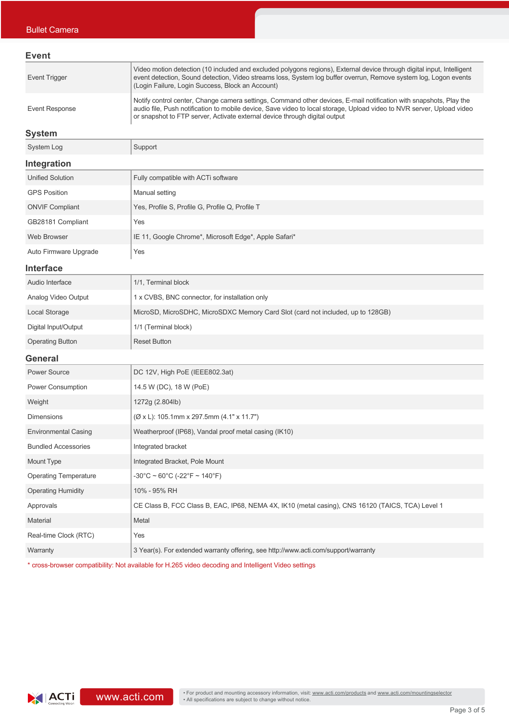| Event                |                                                                                                                                                                                                                                                                                                                           |
|----------------------|---------------------------------------------------------------------------------------------------------------------------------------------------------------------------------------------------------------------------------------------------------------------------------------------------------------------------|
| <b>Event Trigger</b> | Video motion detection (10 included and excluded polygons regions), External device through digital input, Intelligent<br>event detection, Sound detection, Video streams loss, System log buffer overrun, Remove system log, Logon events<br>(Login Failure, Login Success, Block an Account)                            |
| Event Response       | Notify control center, Change camera settings, Command other devices, E-mail notification with snapshots, Play the<br>audio file, Push notification to mobile device, Save video to local storage, Upload video to NVR server, Upload video<br>or snapshot to FTP server, Activate external device through digital output |

### **System**

| System Log              | Support                                               |  |  |  |
|-------------------------|-------------------------------------------------------|--|--|--|
| Integration             |                                                       |  |  |  |
| <b>Unified Solution</b> | Fully compatible with ACTi software                   |  |  |  |
| <b>GPS Position</b>     | Manual setting                                        |  |  |  |
| <b>ONVIF Compliant</b>  | Yes, Profile S, Profile G, Profile Q, Profile T       |  |  |  |
| GB28181 Compliant       | Yes                                                   |  |  |  |
| Web Browser             | IE 11, Google Chrome*, Microsoft Edge*, Apple Safari* |  |  |  |
| Auto Firmware Upgrade   | Yes                                                   |  |  |  |

#### **Interface**

| Audio Interface         | 1/1, Terminal block                                                             |  |  |
|-------------------------|---------------------------------------------------------------------------------|--|--|
| Analog Video Output     | 1 x CVBS, BNC connector, for installation only                                  |  |  |
| Local Storage           | MicroSD, MicroSDHC, MicroSDXC Memory Card Slot (card not included, up to 128GB) |  |  |
| Digital Input/Output    | 1/1 (Terminal block)                                                            |  |  |
| <b>Operating Button</b> | <b>Reset Button</b>                                                             |  |  |

#### **General**

| <b>Power Source</b>          | DC 12V, High PoE (IEEE802.3at)                                                                   |  |  |  |
|------------------------------|--------------------------------------------------------------------------------------------------|--|--|--|
| Power Consumption            | 14.5 W (DC), 18 W (PoE)                                                                          |  |  |  |
| Weight                       | 1272g (2.804lb)                                                                                  |  |  |  |
| <b>Dimensions</b>            | (Ø x L): 105.1mm x 297.5mm (4.1" x 11.7")                                                        |  |  |  |
| <b>Environmental Casing</b>  | Weatherproof (IP68), Vandal proof metal casing (IK10)                                            |  |  |  |
| <b>Bundled Accessories</b>   | Integrated bracket                                                                               |  |  |  |
| Mount Type                   | Integrated Bracket, Pole Mount                                                                   |  |  |  |
| <b>Operating Temperature</b> | $-30^{\circ}$ C ~ 60°C (-22°F ~ 140°F)                                                           |  |  |  |
| <b>Operating Humidity</b>    | 10% - 95% RH                                                                                     |  |  |  |
| Approvals                    | CE Class B, FCC Class B, EAC, IP68, NEMA 4X, IK10 (metal casing), CNS 16120 (TAICS, TCA) Level 1 |  |  |  |
| <b>Material</b>              | Metal                                                                                            |  |  |  |
| Real-time Clock (RTC)        | Yes                                                                                              |  |  |  |
| Warranty                     | 3 Year(s). For extended warranty offering, see http://www.acti.com/support/warranty              |  |  |  |
|                              |                                                                                                  |  |  |  |

\* cross-browser compatibility: Not available for H.265 video decoding and Intelligent Video settings

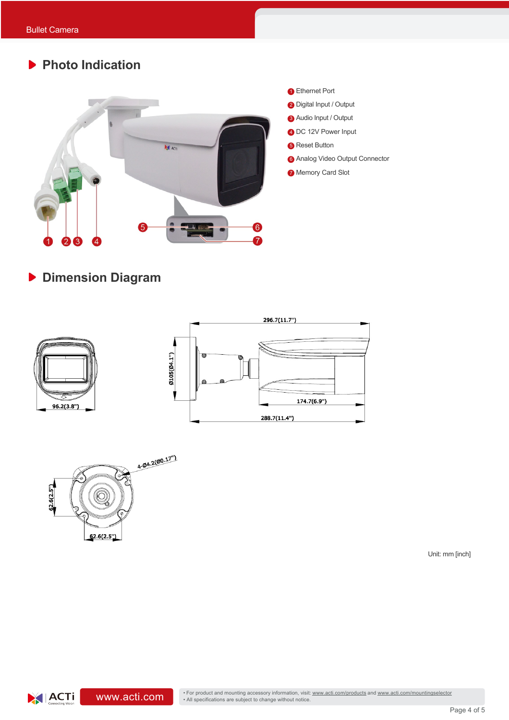# **Photo Indication**



**Dimension Diagram**





Unit: mm [inch]